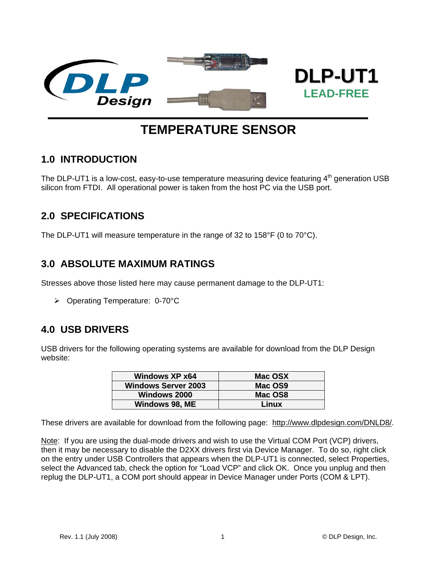

# **TEMPERATURE SENSOR**

## **1.0 INTRODUCTION**

The DLP-UT1 is a low-cost, easy-to-use temperature measuring device featuring  $4<sup>th</sup>$  generation USB silicon from FTDI. All operational power is taken from the host PC via the USB port.

### **2.0 SPECIFICATIONS**

The DLP-UT1 will measure temperature in the range of 32 to 158°F (0 to 70°C).

### **3.0 ABSOLUTE MAXIMUM RATINGS**

Stresses above those listed here may cause permanent damage to the DLP-UT1:

¾ Operating Temperature: 0-70°C

### **4.0 USB DRIVERS**

USB drivers for the following operating systems are available for download from the DLP Design website:

| <b>Windows XP x64</b>      | Mac OSX |
|----------------------------|---------|
| <b>Windows Server 2003</b> | Mac OS9 |
| <b>Windows 2000</b>        | Mac OS8 |
| Windows 98, ME             | Linux   |

These drivers are available for download from the following page: http://www.dlpdesign.com/DNLD8/.

Note: If you are using the dual-mode drivers and wish to use the Virtual COM Port (VCP) drivers, then it may be necessary to disable the D2XX drivers first via Device Manager. To do so, right click on the entry under USB Controllers that appears when the DLP-UT1 is connected, select Properties, select the Advanced tab, check the option for "Load VCP" and click OK. Once you unplug and then replug the DLP-UT1, a COM port should appear in Device Manager under Ports (COM & LPT).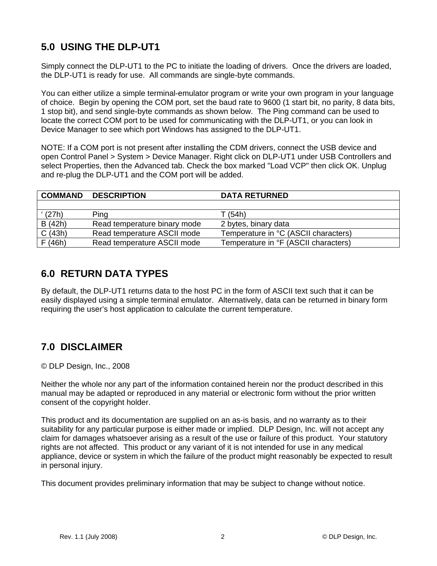## **5.0 USING THE DLP-UT1**

Simply connect the DLP-UT1 to the PC to initiate the loading of drivers. Once the drivers are loaded, the DLP-UT1 is ready for use. All commands are single-byte commands.

You can either utilize a simple terminal-emulator program or write your own program in your language of choice. Begin by opening the COM port, set the baud rate to 9600 (1 start bit, no parity, 8 data bits, 1 stop bit), and send single-byte commands as shown below. The Ping command can be used to locate the correct COM port to be used for communicating with the DLP-UT1, or you can look in Device Manager to see which port Windows has assigned to the DLP-UT1.

NOTE: If a COM port is not present after installing the CDM drivers, connect the USB device and open Control Panel > System > Device Manager. Right click on DLP-UT1 under USB Controllers and select Properties, then the Advanced tab. Check the box marked "Load VCP" then click OK. Unplug and re-plug the DLP-UT1 and the COM port will be added.

| <b>COMMAND</b> | <b>DESCRIPTION</b>           | <b>DATA RETURNED</b>                 |
|----------------|------------------------------|--------------------------------------|
|                |                              |                                      |
| (27h)          | Ping                         | T (54h)                              |
| B (42h)        | Read temperature binary mode | 2 bytes, binary data                 |
| C(43h)         | Read temperature ASCII mode  | Temperature in °C (ASCII characters) |
| F(46h)         | Read temperature ASCII mode  | Temperature in °F (ASCII characters) |

## **6.0 RETURN DATA TYPES**

By default, the DLP-UT1 returns data to the host PC in the form of ASCII text such that it can be easily displayed using a simple terminal emulator. Alternatively, data can be returned in binary form requiring the user's host application to calculate the current temperature.

## **7.0 DISCLAIMER**

© DLP Design, Inc., 2008

Neither the whole nor any part of the information contained herein nor the product described in this manual may be adapted or reproduced in any material or electronic form without the prior written consent of the copyright holder.

This product and its documentation are supplied on an as-is basis, and no warranty as to their suitability for any particular purpose is either made or implied. DLP Design, Inc. will not accept any claim for damages whatsoever arising as a result of the use or failure of this product. Your statutory rights are not affected. This product or any variant of it is not intended for use in any medical appliance, device or system in which the failure of the product might reasonably be expected to result in personal injury.

This document provides preliminary information that may be subject to change without notice.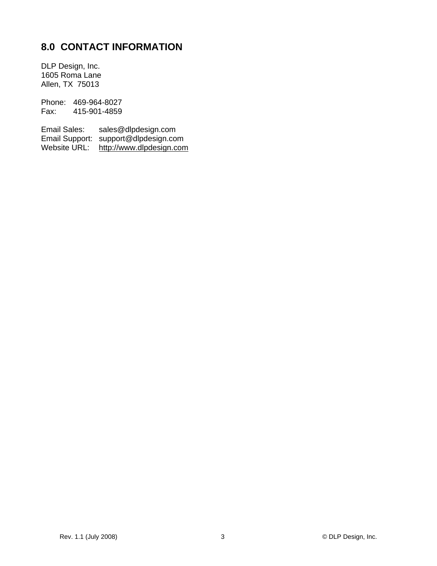## **8.0 CONTACT INFORMATION**

DLP Design, Inc. 1605 Roma Lane Allen, TX 75013

Phone: 469-964-8027<br>Fax: 415-901-4859 415-901-4859

Email Sales: sales@dlpdesign.com Email Support: support@dlpdesign.com Website URL: http://www.dlpdesign.com